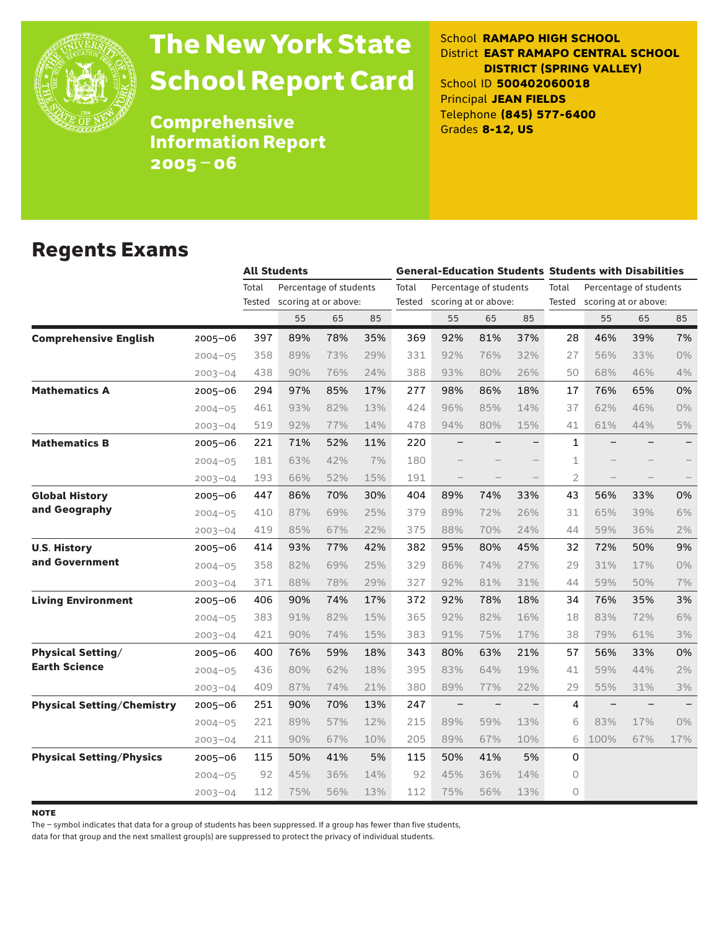

# The New York State School Report Card

School **RAMAPO HIGH SCHOOL** District **EAST RAMAPO CENTRAL SCHOOL DISTRICT (SPRING VALLEY)** School ID **500402060018** Principal **JEAN FIELDS** Telephone **(845) 577-6400** Grades **8-12, US**

**Comprehensive** Information Report 2005–06

### Regents Exams

|                                   |             |        | <b>All Students</b>    |     |     |       | <b>General-Education Students Students with Disabilities</b> |                   |     |                             |                        |     |                   |  |
|-----------------------------------|-------------|--------|------------------------|-----|-----|-------|--------------------------------------------------------------|-------------------|-----|-----------------------------|------------------------|-----|-------------------|--|
|                                   |             | Total  | Percentage of students |     |     | Total | Percentage of students                                       |                   |     | Total                       | Percentage of students |     |                   |  |
|                                   |             | Tested | scoring at or above:   |     |     |       | Tested scoring at or above:                                  |                   |     | Tested scoring at or above: |                        |     |                   |  |
|                                   |             |        | 55                     | 65  | 85  |       | 55                                                           | 65                | 85  |                             | 55                     | 65  | 85                |  |
| <b>Comprehensive English</b>      | $2005 - 06$ | 397    | 89%                    | 78% | 35% | 369   | 92%                                                          | 81%               | 37% | 28                          | 46%                    | 39% | 7%                |  |
|                                   | $2004 - 05$ | 358    | 89%                    | 73% | 29% | 331   | 92%                                                          | 76%               | 32% | 27                          | 56%                    | 33% | 0%                |  |
|                                   | $2003 - 04$ | 438    | 90%                    | 76% | 24% | 388   | 93%                                                          | 80%               | 26% | 50                          | 68%                    | 46% | 4%                |  |
| <b>Mathematics A</b>              | $2005 - 06$ | 294    | 97%                    | 85% | 17% | 277   | 98%                                                          | 86%               | 18% | 17                          | 76%                    | 65% | 0%                |  |
|                                   | $2004 - 05$ | 461    | 93%                    | 82% | 13% | 424   | 96%                                                          | 85%               | 14% | 37                          | 62%                    | 46% | 0%                |  |
|                                   | $2003 - 04$ | 519    | 92%                    | 77% | 14% | 478   | 94%                                                          | 80%               | 15% | 41                          | 61%                    | 44% | 5%                |  |
| <b>Mathematics B</b>              | $2005 - 06$ | 221    | 71%                    | 52% | 11% | 220   | —                                                            |                   |     | $\mathbf{1}$                |                        |     |                   |  |
|                                   | $2004 - 05$ | 181    | 63%                    | 42% | 7%  | 180   |                                                              |                   |     | 1                           |                        |     |                   |  |
|                                   | $2003 - 04$ | 193    | 66%                    | 52% | 15% | 191   |                                                              |                   |     | $\overline{2}$              |                        |     |                   |  |
| <b>Global History</b>             | 2005–06     | 447    | 86%                    | 70% | 30% | 404   | 89%                                                          | 74%               | 33% | 43                          | 56%                    | 33% | 0%                |  |
| and Geography                     | $2004 - 05$ | 410    | 87%                    | 69% | 25% | 379   | 89%                                                          | 72%               | 26% | 31                          | 65%                    | 39% | 6%                |  |
|                                   | $2003 - 04$ | 419    | 85%                    | 67% | 22% | 375   | 88%                                                          | 70%               | 24% | 44                          | 59%                    | 36% | 2%                |  |
| <b>U.S. History</b>               | $2005 - 06$ | 414    | 93%                    | 77% | 42% | 382   | 95%                                                          | 80%               | 45% | 32                          | 72%                    | 50% | 9%                |  |
| and Government                    | $2004 - 05$ | 358    | 82%                    | 69% | 25% | 329   | 86%                                                          | 74%               | 27% | 29                          | 31%                    | 17% | 0%                |  |
|                                   | $2003 - 04$ | 371    | 88%                    | 78% | 29% | 327   | 92%                                                          | 81%               | 31% | 44                          | 59%                    | 50% | 7%                |  |
| <b>Living Environment</b>         | 2005–06     | 406    | 90%                    | 74% | 17% | 372   | 92%                                                          | 78%               | 18% | 34                          | 76%                    | 35% | 3%                |  |
|                                   | $2004 - 05$ | 383    | 91%                    | 82% | 15% | 365   | 92%                                                          | 82%               | 16% | 18                          | 83%                    | 72% | 6%                |  |
|                                   | $2003 - 04$ | 421    | 90%                    | 74% | 15% | 383   | 91%                                                          | 75%               | 17% | 38                          | 79%                    | 61% | 3%                |  |
| <b>Physical Setting/</b>          | 2005–06     | 400    | 76%                    | 59% | 18% | 343   | 80%                                                          | 63%               | 21% | 57                          | 56%                    | 33% | 0%                |  |
| <b>Earth Science</b>              | $2004 - 05$ | 436    | 80%                    | 62% | 18% | 395   | 83%                                                          | 64%               | 19% | 41                          | 59%                    | 44% | 2%                |  |
|                                   | $2003 - 04$ | 409    | 87%                    | 74% | 21% | 380   | 89%                                                          | 77%               | 22% | 29                          | 55%                    | 31% | 3%                |  |
| <b>Physical Setting/Chemistry</b> | 2005-06     | 251    | 90%                    | 70% | 13% | 247   | $\overline{\phantom{a}}$                                     | $\qquad \qquad -$ |     | 4                           | $\qquad \qquad -$      |     | $\qquad \qquad -$ |  |
|                                   | $2004 - 05$ | 221    | 89%                    | 57% | 12% | 215   | 89%                                                          | 59%               | 13% | 6                           | 83%                    | 17% | 0%                |  |
|                                   | $2003 - 04$ | 211    | 90%                    | 67% | 10% | 205   | 89%                                                          | 67%               | 10% | 6                           | 100%                   | 67% | 17%               |  |
| <b>Physical Setting/Physics</b>   | 2005–06     | 115    | 50%                    | 41% | 5%  | 115   | 50%                                                          | 41%               | 5%  | $\Omega$                    |                        |     |                   |  |
|                                   | $2004 - 05$ | 92     | 45%                    | 36% | 14% | 92    | 45%                                                          | 36%               | 14% | $\circ$                     |                        |     |                   |  |
|                                   | $2003 - 04$ | 112    | 75%                    | 56% | 13% | 112   | 75%                                                          | 56%               | 13% | $\Omega$                    |                        |     |                   |  |

**NOTE** 

The – symbol indicates that data for a group of students has been suppressed. If a group has fewer than five students,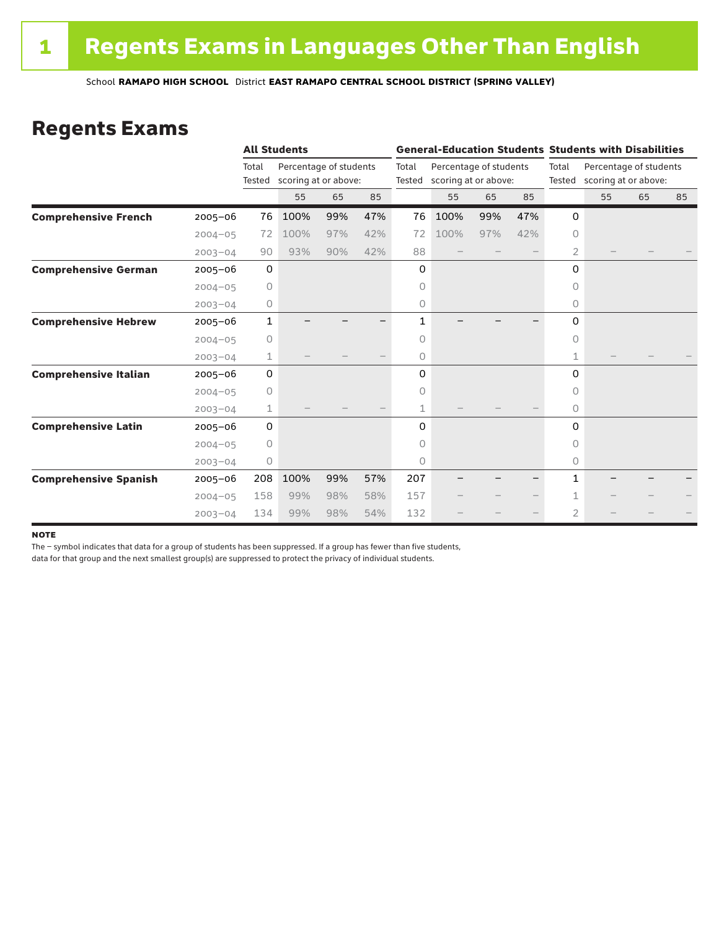### Regents Exams

|                              |             | <b>All Students</b> |                                                |     |     | <b>General-Education Students Students with Disabilities</b> |                                                |     |     |                |                                                       |    |    |
|------------------------------|-------------|---------------------|------------------------------------------------|-----|-----|--------------------------------------------------------------|------------------------------------------------|-----|-----|----------------|-------------------------------------------------------|----|----|
|                              |             | Total<br>Tested     | Percentage of students<br>scoring at or above: |     |     | Total<br>Tested                                              | Percentage of students<br>scoring at or above: |     |     | Total          | Percentage of students<br>Tested scoring at or above: |    |    |
|                              |             |                     | 55                                             | 65  | 85  |                                                              | 55                                             | 65  | 85  |                | 55                                                    | 65 | 85 |
| <b>Comprehensive French</b>  | $2005 - 06$ | 76                  | 100%                                           | 99% | 47% | 76                                                           | 100%                                           | 99% | 47% | 0              |                                                       |    |    |
|                              | $2004 - 05$ | 72                  | 100%                                           | 97% | 42% | 72                                                           | 100%                                           | 97% | 42% | $\circ$        |                                                       |    |    |
|                              | $2003 - 04$ | 90                  | 93%                                            | 90% | 42% | 88                                                           |                                                |     |     | $\overline{2}$ |                                                       |    |    |
| <b>Comprehensive German</b>  | $2005 - 06$ | 0                   |                                                |     |     | 0                                                            |                                                |     |     | 0              |                                                       |    |    |
|                              | $2004 - 05$ | 0                   |                                                |     |     | 0                                                            |                                                |     |     | 0              |                                                       |    |    |
|                              | $2003 - 04$ | 0                   |                                                |     |     | 0                                                            |                                                |     |     | 0              |                                                       |    |    |
| <b>Comprehensive Hebrew</b>  | $2005 - 06$ | $\mathbf{1}$        |                                                |     |     | 1                                                            |                                                |     |     | 0              |                                                       |    |    |
|                              | $2004 - 05$ | $\circ$             |                                                |     |     | 0                                                            |                                                |     |     | 0              |                                                       |    |    |
|                              | $2003 - 04$ | 1                   |                                                |     |     | 0                                                            |                                                |     |     | 1              |                                                       |    |    |
| <b>Comprehensive Italian</b> | $2005 - 06$ | 0                   |                                                |     |     | 0                                                            |                                                |     |     | 0              |                                                       |    |    |
|                              | $2004 - 05$ | 0                   |                                                |     |     | 0                                                            |                                                |     |     | $\circ$        |                                                       |    |    |
|                              | $2003 - 04$ | 1                   |                                                |     |     | 1                                                            |                                                |     |     | 0              |                                                       |    |    |
| <b>Comprehensive Latin</b>   | $2005 - 06$ | 0                   |                                                |     |     | 0                                                            |                                                |     |     | 0              |                                                       |    |    |
|                              | $2004 - 05$ | 0                   |                                                |     |     | 0                                                            |                                                |     |     | 0              |                                                       |    |    |
|                              | $2003 - 04$ | $\circ$             |                                                |     |     | 0                                                            |                                                |     |     | $\circ$        |                                                       |    |    |
| <b>Comprehensive Spanish</b> | $2005 - 06$ | 208                 | 100%                                           | 99% | 57% | 207                                                          |                                                |     |     | 1              |                                                       |    |    |
|                              | $2004 - 05$ | 158                 | 99%                                            | 98% | 58% | 157                                                          |                                                |     |     |                |                                                       |    |    |
|                              | $2003 - 04$ | 134                 | 99%                                            | 98% | 54% | 132                                                          |                                                |     |     | $\overline{2}$ |                                                       |    |    |

#### **NOTE**

The – symbol indicates that data for a group of students has been suppressed. If a group has fewer than five students,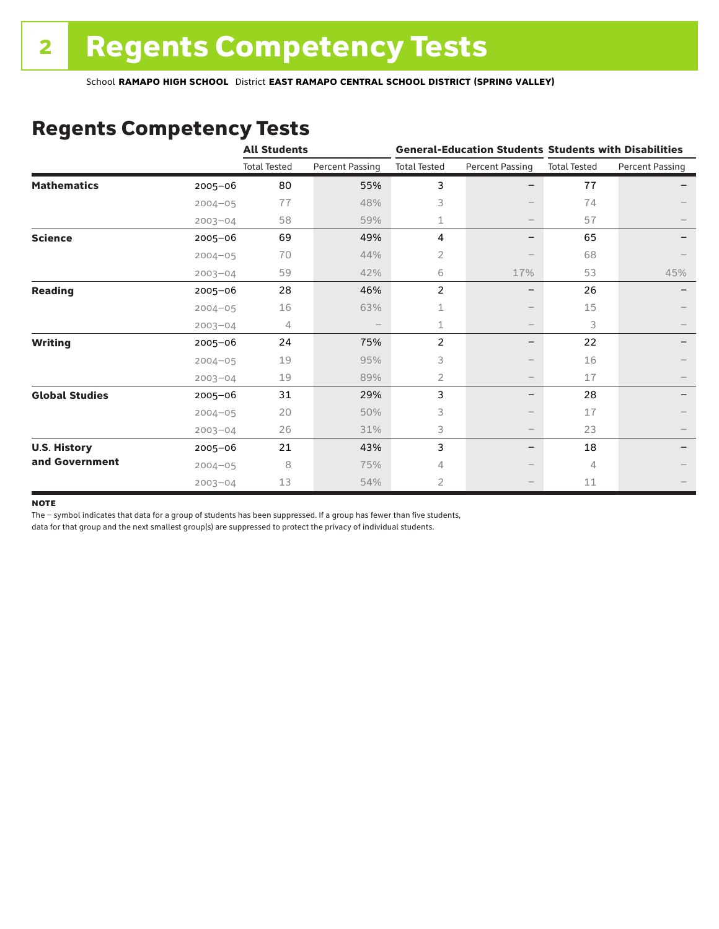### Regents Competency Tests

|                       |             | <b>All Students</b> |                        |                     |                                 | <b>General-Education Students Students with Disabilities</b> |                        |  |
|-----------------------|-------------|---------------------|------------------------|---------------------|---------------------------------|--------------------------------------------------------------|------------------------|--|
|                       |             | <b>Total Tested</b> | <b>Percent Passing</b> | <b>Total Tested</b> | <b>Percent Passing</b>          | <b>Total Tested</b>                                          | <b>Percent Passing</b> |  |
| <b>Mathematics</b>    | $2005 - 06$ | 80                  | 55%                    | 3                   | -                               | 77                                                           |                        |  |
|                       | $2004 - 05$ | 77                  | 48%                    | 3                   | $\qquad \qquad -$               | 74                                                           |                        |  |
|                       | $2003 - 04$ | 58                  | 59%                    | 1                   | $\qquad \qquad -$               | 57                                                           |                        |  |
| <b>Science</b>        | $2005 - 06$ | 69                  | 49%                    | 4                   | -                               | 65                                                           |                        |  |
|                       | $2004 - 05$ | 70                  | 44%                    | $\overline{2}$      |                                 | 68                                                           |                        |  |
|                       | $2003 - 04$ | 59                  | 42%                    | 6                   | 17%                             | 53                                                           | 45%                    |  |
| <b>Reading</b>        | 2005-06     | 28                  | 46%                    | 2                   | —                               | 26                                                           |                        |  |
|                       | $2004 - 05$ | 16                  | 63%                    | 1                   | $\overline{\phantom{0}}$        | 15                                                           |                        |  |
|                       | $2003 - 04$ | 4                   |                        | $\mathbf{1}$        | $\overline{\phantom{0}}$        | 3                                                            |                        |  |
| <b>Writing</b>        | 2005-06     | 24                  | 75%                    | $\overline{c}$      | —                               | 22                                                           |                        |  |
|                       | $2004 - 05$ | 19                  | 95%                    | 3                   | $\qquad \qquad -$               | 16                                                           |                        |  |
|                       | $2003 - 04$ | 19                  | 89%                    | 2                   | $\hspace{0.1mm}-\hspace{0.1mm}$ | 17                                                           |                        |  |
| <b>Global Studies</b> | 2005-06     | 31                  | 29%                    | 3                   | -                               | 28                                                           |                        |  |
|                       | $2004 - 05$ | 20                  | 50%                    | 3                   | $\qquad \qquad -$               | 17                                                           |                        |  |
|                       | $2003 - 04$ | 26                  | 31%                    | 3                   | $\hspace{0.1mm}-\hspace{0.1mm}$ | 23                                                           |                        |  |
| <b>U.S. History</b>   | 2005-06     | 21                  | 43%                    | 3                   | $\qquad \qquad -$               | 18                                                           |                        |  |
| and Government        | $2004 - 05$ | 8                   | 75%                    | 4                   | $\qquad \qquad -$               | 4                                                            |                        |  |
|                       | $2003 - 04$ | 13                  | 54%                    | 2                   | $\qquad \qquad -$               | 11                                                           |                        |  |

#### **NOTE**

The – symbol indicates that data for a group of students has been suppressed. If a group has fewer than five students,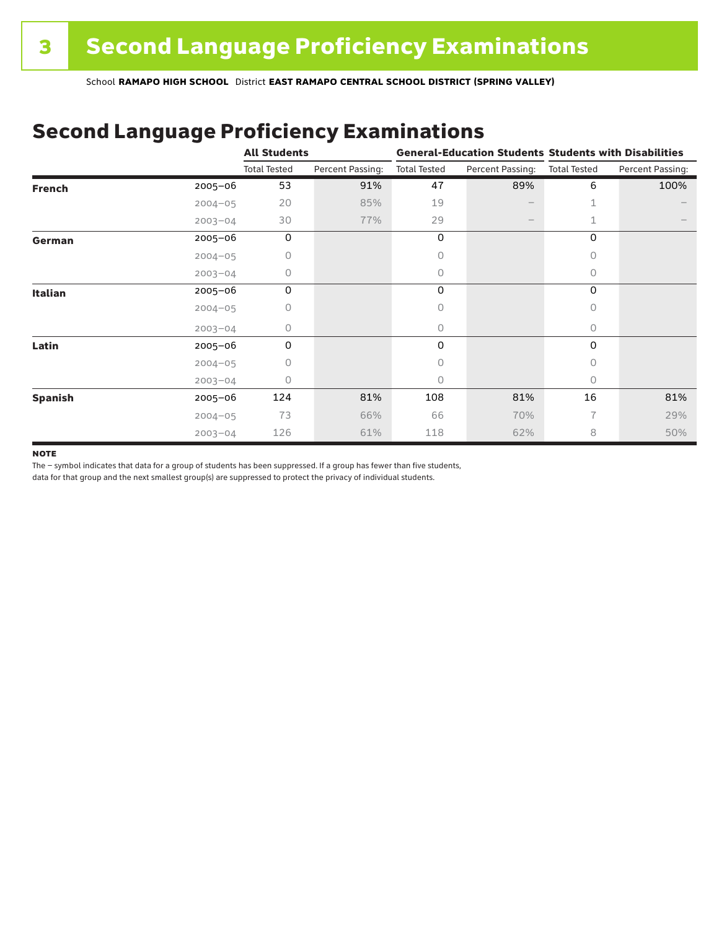### Second Language Proficiency Examinations

|                |             | <b>All Students</b> |                  | <b>General-Education Students Students with Disabilities</b> |                  |                     |                  |  |
|----------------|-------------|---------------------|------------------|--------------------------------------------------------------|------------------|---------------------|------------------|--|
|                |             | <b>Total Tested</b> | Percent Passing: | <b>Total Tested</b>                                          | Percent Passing: | <b>Total Tested</b> | Percent Passing: |  |
| <b>French</b>  | $2005 - 06$ | 53                  | 91%              | 47                                                           | 89%              | 6                   | 100%             |  |
|                | $2004 - 05$ | 20                  | 85%              | 19                                                           |                  |                     |                  |  |
|                | $2003 - 04$ | 30                  | 77%              | 29                                                           |                  | 1                   |                  |  |
| German         | $2005 - 06$ | 0                   |                  | 0                                                            |                  | 0                   |                  |  |
|                | $2004 - 05$ | 0                   |                  | 0                                                            |                  | 0                   |                  |  |
|                | $2003 - 04$ | 0                   |                  | 0                                                            |                  | 0                   |                  |  |
| <b>Italian</b> | 2005-06     | 0                   |                  | 0                                                            |                  | 0                   |                  |  |
|                | $2004 - 05$ | 0                   |                  | 0                                                            |                  | 0                   |                  |  |
|                | $2003 - 04$ | $\circ$             |                  | 0                                                            |                  | $\circ$             |                  |  |
| Latin          | $2005 - 06$ | $\mathbf 0$         |                  | 0                                                            |                  | 0                   |                  |  |
|                | $2004 - 05$ | $\bigcap$           |                  | Ω                                                            |                  | Ω                   |                  |  |
|                | $2003 - 04$ | 0                   |                  | 0                                                            |                  | 0                   |                  |  |
| <b>Spanish</b> | $2005 - 06$ | 124                 | 81%              | 108                                                          | 81%              | 16                  | 81%              |  |
|                | $2004 - 05$ | 73                  | 66%              | 66                                                           | 70%              | 7                   | 29%              |  |
|                | $2003 - 04$ | 126                 | 61%              | 118                                                          | 62%              | 8                   | 50%              |  |

#### **NOTE**

The – symbol indicates that data for a group of students has been suppressed. If a group has fewer than five students,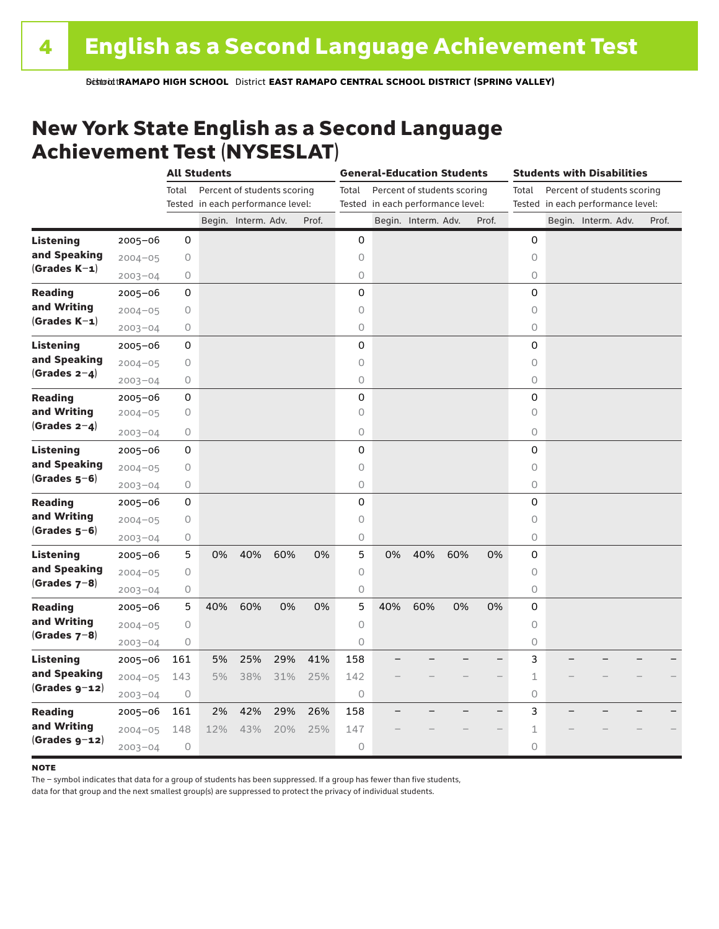### New York State English as a Second Language Achievement Test (NYSESLAT)

|                                |             | <b>All Students</b> |                                   |                             |     |       | <b>General-Education Students</b> |     |                                   |     | Students with Disabilities |                                                                           |  |                     |  |       |  |
|--------------------------------|-------------|---------------------|-----------------------------------|-----------------------------|-----|-------|-----------------------------------|-----|-----------------------------------|-----|----------------------------|---------------------------------------------------------------------------|--|---------------------|--|-------|--|
|                                |             | Total               |                                   | Percent of students scoring |     |       | Total                             |     | Percent of students scoring       |     |                            | Percent of students scoring<br>Total<br>Tested in each performance level: |  |                     |  |       |  |
|                                |             |                     | Tested in each performance level: |                             |     |       |                                   |     | Tested in each performance level: |     |                            |                                                                           |  |                     |  |       |  |
|                                |             |                     |                                   | Begin. Interm. Adv.         |     | Prof. |                                   |     | Begin. Interm. Adv.               |     | Prof.                      |                                                                           |  | Begin. Interm. Adv. |  | Prof. |  |
| <b>Listening</b>               | 2005-06     | 0                   |                                   |                             |     |       | 0                                 |     |                                   |     |                            | 0                                                                         |  |                     |  |       |  |
| and Speaking<br>$(Grades K-1)$ | $2004 - 05$ | 0                   |                                   |                             |     |       | 0                                 |     |                                   |     |                            | 0                                                                         |  |                     |  |       |  |
|                                | $2003 - 04$ | 0                   |                                   |                             |     |       | 0                                 |     |                                   |     |                            | 0                                                                         |  |                     |  |       |  |
| <b>Reading</b>                 | $2005 - 06$ | 0                   |                                   |                             |     |       | $\mathbf 0$                       |     |                                   |     |                            | 0                                                                         |  |                     |  |       |  |
| and Writing                    | $2004 - 05$ | 0                   |                                   |                             |     |       | $\circ$                           |     |                                   |     |                            | 0                                                                         |  |                     |  |       |  |
| $(Grades K-1)$                 | $2003 - 04$ | 0                   |                                   |                             |     |       | $\circ$                           |     |                                   |     |                            | 0                                                                         |  |                     |  |       |  |
| Listening                      | $2005 - 06$ | 0                   |                                   |                             |     |       | 0                                 |     |                                   |     |                            | 0                                                                         |  |                     |  |       |  |
| and Speaking                   | $2004 - 05$ | 0                   |                                   |                             |     |       | $\circ$                           |     |                                   |     |                            | 0                                                                         |  |                     |  |       |  |
| $(Grades 2-4)$                 | $2003 - 04$ | 0                   |                                   |                             |     |       | 0                                 |     |                                   |     |                            | 0                                                                         |  |                     |  |       |  |
| <b>Reading</b>                 | $2005 - 06$ | 0                   |                                   |                             |     |       | 0                                 |     |                                   |     |                            | 0                                                                         |  |                     |  |       |  |
| and Writing                    | $2004 - 05$ | 0                   |                                   |                             |     |       | 0                                 |     |                                   |     |                            | 0                                                                         |  |                     |  |       |  |
| $(Grades 2-4)$                 | $2003 - 04$ | 0                   |                                   |                             |     |       | 0                                 |     |                                   |     |                            | 0                                                                         |  |                     |  |       |  |
| Listening                      | $2005 - 06$ | 0                   |                                   |                             |     |       | 0                                 |     |                                   |     |                            | 0                                                                         |  |                     |  |       |  |
| and Speaking                   | $2004 - 05$ | 0                   |                                   |                             |     |       | $\circ$                           |     |                                   |     |                            | 0                                                                         |  |                     |  |       |  |
| $(Grades 5-6)$                 | $2003 - 04$ | 0                   |                                   |                             |     |       | 0                                 |     |                                   |     |                            | 0                                                                         |  |                     |  |       |  |
| <b>Reading</b>                 | $2005 - 06$ | 0                   |                                   |                             |     |       | $\mathbf 0$                       |     |                                   |     |                            | 0                                                                         |  |                     |  |       |  |
| and Writing                    | $2004 - 05$ | 0                   |                                   |                             |     |       | $\circ$                           |     |                                   |     |                            | 0                                                                         |  |                     |  |       |  |
| $(Grades 5-6)$                 | $2003 - 04$ | 0                   |                                   |                             |     |       | 0                                 |     |                                   |     |                            | 0                                                                         |  |                     |  |       |  |
| <b>Listening</b>               | $2005 - 06$ | 5                   | 0%                                | 40%                         | 60% | 0%    | 5                                 | 0%  | 40%                               | 60% | 0%                         | 0                                                                         |  |                     |  |       |  |
| and Speaking                   | $2004 - 05$ | 0                   |                                   |                             |     |       | $\circ$                           |     |                                   |     |                            | 0                                                                         |  |                     |  |       |  |
| (Grades $7-8$ )                | $2003 - 04$ | 0                   |                                   |                             |     |       | $\circ$                           |     |                                   |     |                            | 0                                                                         |  |                     |  |       |  |
| <b>Reading</b>                 | $2005 - 06$ | 5                   | 40%                               | 60%                         | 0%  | 0%    | 5                                 | 40% | 60%                               | 0%  | 0%                         | 0                                                                         |  |                     |  |       |  |
| and Writing                    | $2004 - 05$ | 0                   |                                   |                             |     |       | $\circ$                           |     |                                   |     |                            | 0                                                                         |  |                     |  |       |  |
| $(Grades 7-8)$                 | $2003 - 04$ | 0                   |                                   |                             |     |       | 0                                 |     |                                   |     |                            | 0                                                                         |  |                     |  |       |  |
| <b>Listening</b>               | $2005 - 06$ | 161                 | 5%                                | 25%                         | 29% | 41%   | 158                               |     |                                   |     |                            | 3                                                                         |  |                     |  |       |  |
| and Speaking                   | $2004 - 05$ | 143                 | 5%                                | 38%                         | 31% | 25%   | 142                               |     |                                   |     |                            | 1                                                                         |  |                     |  |       |  |
| $(Grades g-12)$                | $2003 - 04$ | $\circ$             |                                   |                             |     |       | $\circ$                           |     |                                   |     |                            | 0                                                                         |  |                     |  |       |  |
| <b>Reading</b>                 | $2005 - 06$ | 161                 | 2%                                | 42%                         | 29% | 26%   | 158                               |     |                                   |     |                            | 3                                                                         |  |                     |  |       |  |
| and Writing                    | $2004 - 05$ | 148                 | 12%                               | 43%                         | 20% | 25%   | 147                               |     |                                   |     |                            | 1                                                                         |  |                     |  |       |  |
| $(Grades g-12)$                | $2003 - 04$ | 0                   |                                   |                             |     |       | 0                                 |     |                                   |     |                            | 0                                                                         |  |                     |  |       |  |

#### **NOTE**

The – symbol indicates that data for a group of students has been suppressed. If a group has fewer than five students,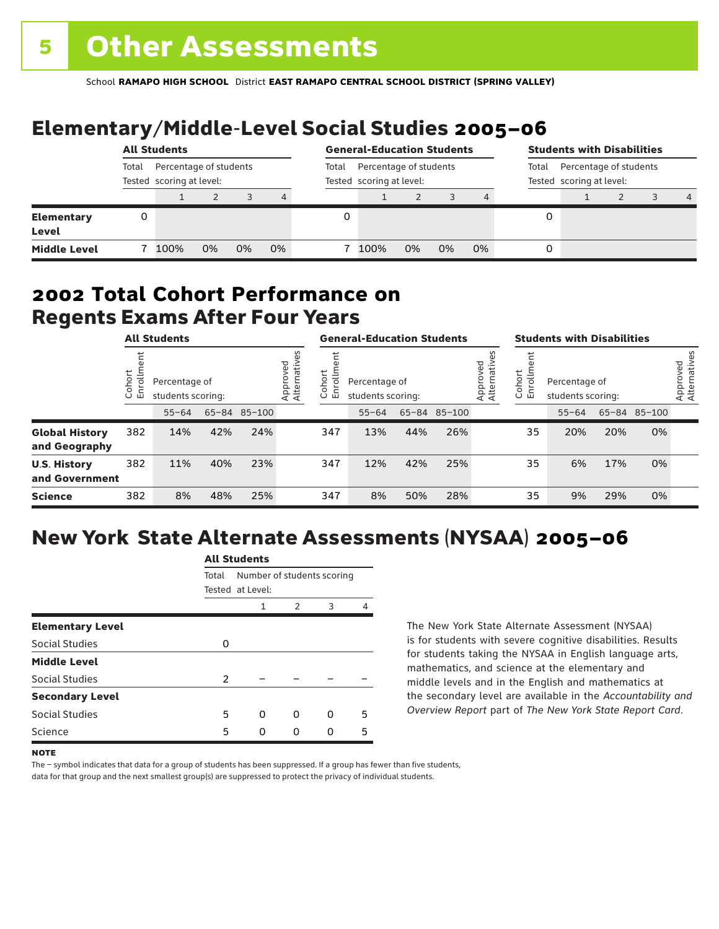# Elementary/Middle-Level Social Studies 2005–06

|                            | <b>All Students</b> |                                                    |    |    |    | <b>General-Education Students</b> |                                                    |    |    |    | <b>Students with Disabilities</b> |                                                    |  |  |                |
|----------------------------|---------------------|----------------------------------------------------|----|----|----|-----------------------------------|----------------------------------------------------|----|----|----|-----------------------------------|----------------------------------------------------|--|--|----------------|
|                            | Total               | Percentage of students<br>Tested scoring at level: |    |    |    | Total                             | Percentage of students<br>Tested scoring at level: |    |    |    | Total                             | Percentage of students<br>Tested scoring at level: |  |  |                |
|                            |                     |                                                    |    |    | 4  |                                   |                                                    |    |    | 4  |                                   |                                                    |  |  | $\overline{4}$ |
| <b>Elementary</b><br>Level | 0                   |                                                    |    |    |    |                                   |                                                    |    |    |    | 0                                 |                                                    |  |  |                |
| <b>Middle Level</b>        |                     | 100%                                               | 0% | 0% | 0% |                                   | 100%                                               | 0% | 0% | 0% | 0                                 |                                                    |  |  |                |

### Regents Exams After Four Years 2002 **Total Cohort Performance on**

| <b>All Students</b>                    |                        |                                    |     |              | <b>General-Education Students</b> |                           |                                    |     |              | <b>Students with Disabilities</b> |                       |                                    |     |              |                          |
|----------------------------------------|------------------------|------------------------------------|-----|--------------|-----------------------------------|---------------------------|------------------------------------|-----|--------------|-----------------------------------|-----------------------|------------------------------------|-----|--------------|--------------------------|
|                                        | ohort<br>$\circ$<br>ごこ | Percentage of<br>students scoring: |     |              | Approved<br>Alternatives          | ohort<br>5<br>띧<br>$\cup$ | Percentage of<br>students scoring: |     |              | Approved<br>Alternative           | Cohort<br>트<br>5<br>훕 | Percentage of<br>students scoring: |     |              | Approved<br>Alternatives |
|                                        |                        | $55 - 64$                          |     | 65-84 85-100 |                                   |                           | $55 - 64$                          |     | 65-84 85-100 |                                   |                       | $55 - 64$                          |     | 65-84 85-100 |                          |
| <b>Global History</b><br>and Geography | 382                    | 14%                                | 42% | 24%          |                                   | 347                       | 13%                                | 44% | 26%          |                                   | 35                    | 20%                                | 20% | 0%           |                          |
| <b>U.S. History</b><br>and Government  | 382                    | 11%                                | 40% | 23%          |                                   | 347                       | 12%                                | 42% | 25%          |                                   | 35                    | 6%                                 | 17% | 0%           |                          |
| <b>Science</b>                         | 382                    | 8%                                 | 48% | 25%          |                                   | 347                       | 8%                                 | 50% | 28%          |                                   | 35                    | 9%                                 | 29% | 0%           |                          |

## New York State Alternate Assessments (NYSAA) 2005–06

| All Students                        |   |                  |   |   |  |  |  |  |  |  |
|-------------------------------------|---|------------------|---|---|--|--|--|--|--|--|
| Number of students scoring<br>Total |   |                  |   |   |  |  |  |  |  |  |
|                                     |   |                  |   |   |  |  |  |  |  |  |
|                                     | 1 | 2                | 3 |   |  |  |  |  |  |  |
|                                     |   |                  |   |   |  |  |  |  |  |  |
| O                                   |   |                  |   |   |  |  |  |  |  |  |
|                                     |   |                  |   |   |  |  |  |  |  |  |
| $\mathcal{P}$                       |   |                  |   |   |  |  |  |  |  |  |
|                                     |   |                  |   |   |  |  |  |  |  |  |
| 5                                   | O | O                | O | 5 |  |  |  |  |  |  |
| 5                                   | n | 0                | O | 5 |  |  |  |  |  |  |
|                                     |   | Tested at Level: |   |   |  |  |  |  |  |  |

All Canada

The New York State Alternate Assessment (NYSAA) is for students with severe cognitive disabilities. Results for students taking the NYSAA in English language arts, mathematics, and science at the elementary and middle levels and in the English and mathematics at the secondary level are available in the *Accountability and Overview Report* part of *The New York State Report Card*.

The – symbol indicates that data for a group of students has been suppressed. If a group has fewer than five students,

**NOTE**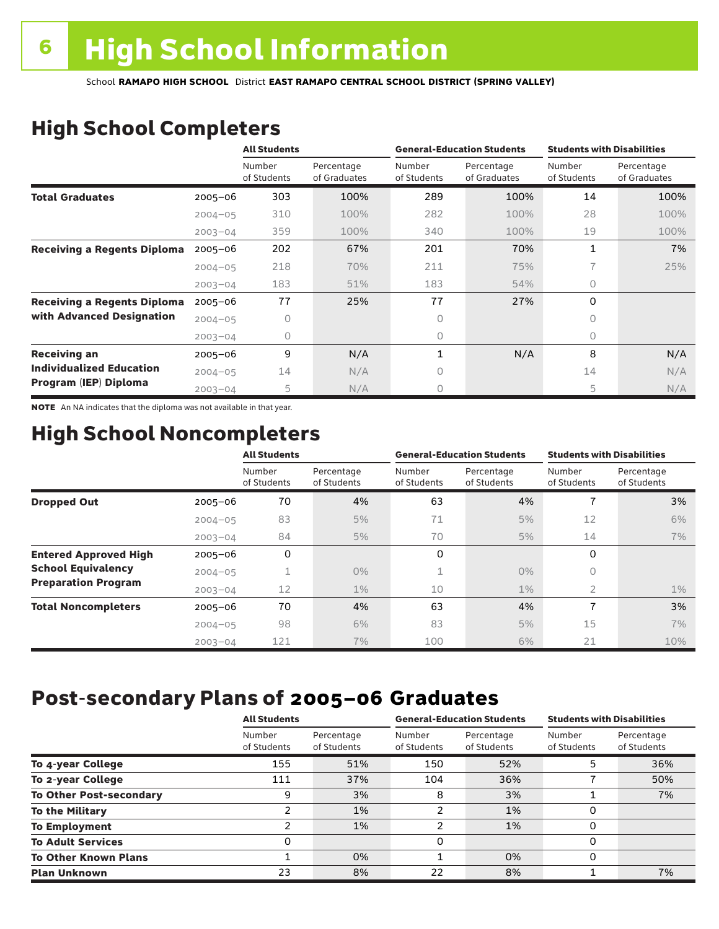## High School Completers

|                                    |             | <b>All Students</b>   |                            |                       | <b>General-Education Students</b> | <b>Students with Disabilities</b> |                            |  |
|------------------------------------|-------------|-----------------------|----------------------------|-----------------------|-----------------------------------|-----------------------------------|----------------------------|--|
|                                    |             | Number<br>of Students | Percentage<br>of Graduates | Number<br>of Students | Percentage<br>of Graduates        | Number<br>of Students             | Percentage<br>of Graduates |  |
| <b>Total Graduates</b>             | $2005 - 06$ | 303                   | 100%                       | 289                   | 100%                              | 14                                | 100%                       |  |
|                                    | $2004 - 05$ | 310                   | 100%                       | 282                   | 100%                              | 28                                | 100%                       |  |
|                                    | $2003 - 04$ | 359                   | 100%                       | 340                   | 100%                              | 19                                | 100%                       |  |
| <b>Receiving a Regents Diploma</b> | $2005 - 06$ | 202                   | 67%                        | 201                   | 70%                               | 1                                 | 7%                         |  |
|                                    | $2004 - 05$ | 218                   | 70%                        | 211                   | 75%                               | 7                                 | 25%                        |  |
|                                    | $2003 - 04$ | 183                   | 51%                        | 183                   | 54%                               | $\circ$                           |                            |  |
| <b>Receiving a Regents Diploma</b> | $2005 - 06$ | 77                    | 25%                        | 77                    | 27%                               | $\Omega$                          |                            |  |
| with Advanced Designation          | $2004 - 05$ | 0                     |                            | 0                     |                                   | 0                                 |                            |  |
|                                    | $2003 - 04$ | 0                     |                            | 0                     |                                   | $\bigcap$                         |                            |  |
| <b>Receiving an</b>                | $2005 - 06$ | 9                     | N/A                        | $\mathbf{1}$          | N/A                               | 8                                 | N/A                        |  |
| <b>Individualized Education</b>    | $2004 - 05$ | 14                    | N/A                        | 0                     |                                   | 14                                | N/A                        |  |
| Program (IEP) Diploma              | $2003 - 04$ | 5                     | N/A                        | 0                     |                                   | 5                                 | N/A                        |  |

NOTE An NA indicates that the diploma was not available in that year.

### High School Noncompleters

|                              |             | <b>All Students</b>   |                           |                       | <b>General-Education Students</b> | <b>Students with Disabilities</b> |                           |  |
|------------------------------|-------------|-----------------------|---------------------------|-----------------------|-----------------------------------|-----------------------------------|---------------------------|--|
|                              |             | Number<br>of Students | Percentage<br>of Students | Number<br>of Students | Percentage<br>of Students         | Number<br>of Students             | Percentage<br>of Students |  |
| <b>Dropped Out</b>           | $2005 - 06$ | 70                    | 4%                        | 63                    | 4%                                |                                   | 3%                        |  |
|                              | $2004 - 05$ | 83                    | 5%                        | 71                    | 5%                                | 12                                | 6%                        |  |
|                              | $2003 - 04$ | 84                    | 5%                        | 70                    | 5%                                | 14                                | 7%                        |  |
| <b>Entered Approved High</b> | $2005 - 06$ | 0                     |                           | 0                     |                                   | 0                                 |                           |  |
| <b>School Equivalency</b>    | $2004 - 05$ |                       | $0\%$                     | -1                    | $0\%$                             | 0                                 |                           |  |
| <b>Preparation Program</b>   | $2003 - 04$ | 12                    | $1\%$                     | 10                    | $1\%$                             | 2                                 | $1\%$                     |  |
| <b>Total Noncompleters</b>   | $2005 - 06$ | 70                    | 4%                        | 63                    | 4%                                | ⇁                                 | 3%                        |  |
|                              | $2004 - 05$ | 98                    | 6%                        | 83                    | 5%                                | 15                                | 7%                        |  |
|                              | $2003 - 04$ | 121                   | 7%                        | 100                   | 6%                                | 21                                | 10%                       |  |

### Post-secondary Plans of 2005–06 **Graduates**

|                                | <b>All Students</b>   |                           |                       | <b>General-Education Students</b> | <b>Students with Disabilities</b> |                           |  |
|--------------------------------|-----------------------|---------------------------|-----------------------|-----------------------------------|-----------------------------------|---------------------------|--|
|                                | Number<br>of Students | Percentage<br>of Students | Number<br>of Students | Percentage<br>of Students         | Number<br>of Students             | Percentage<br>of Students |  |
| To 4-year College              | 155                   | 51%                       | 150                   | 52%                               | 5                                 | 36%                       |  |
| To 2-year College              | 111                   | 37%                       | 104                   | 36%                               |                                   | 50%                       |  |
| <b>To Other Post-secondary</b> | 9                     | 3%                        | 8                     | 3%                                |                                   | 7%                        |  |
| <b>To the Military</b>         | 2                     | 1%                        | 2                     | 1%                                | 0                                 |                           |  |
| <b>To Employment</b>           | າ                     | 1%                        | っ                     | 1%                                | 0                                 |                           |  |
| <b>To Adult Services</b>       |                       |                           | 0                     |                                   | 0                                 |                           |  |
| <b>To Other Known Plans</b>    |                       | 0%                        |                       | 0%                                | 0                                 |                           |  |
| <b>Plan Unknown</b>            | 23                    | 8%                        | 22                    | 8%                                |                                   | 7%                        |  |